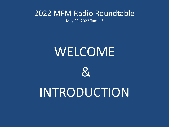May 23, 2022 Tampa!

# WELCOME



# INTRODUCTION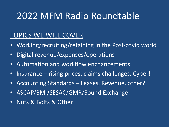#### TOPICS WE WILL COVER

- Working/recruiting/retaining in the Post-covid world
- Digital revenue/expenses/operations
- Automation and workflow enchancements
- Insurance rising prices, claims challenges, Cyber!
- Accounting Standards Leases, Revenue, other?
- ASCAP/BMI/SESAC/GMR/Sound Exchange
- Nuts & Bolts & Other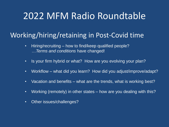#### Working/hiring/retaining in Post-Covid time

- Hiring/recruiting how to find/keep qualified people? …*Terms and conditions* have changed!
- Is your firm hybrid or what? How are you evolving your plan?
- Workflow what did you learn? How did you adjust/improve/adapt?
- Vacation and benefits what are the trends, what is working best?
- Working (remotely) in other states how are you dealing with this?
- Other issues/challenges?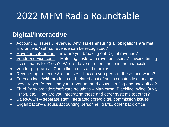#### **Digital/Interactive**

- Accounting issues…revenue. Any issues ensuring all obligations are met and price is "set" so revenue can be recognized?
- Revenue categories how are you breaking out Digital revenue?
- Vendor/service costs Matching costs with revenue issues? Invoice timing vs estimates for Close? Where do you present these in the financials?
- Vendor programs Controlling costs and margins
- Reconciling: revenue & expenses—how do you perform these, and when?
- Forecasting –With products and related cost of sales constantly changing, how are you forecasting your revenue, hard costs, staffing and back office?
- Third Party providers/software solutions Marketron, Blackline, Wide Orbit, Triton, etc. How are you integrating these and other systems together?
- Sales-A/E's separate staff, integrated core/digital, commission issues
- Organization– discuss accounting personnel, traffic, other back office.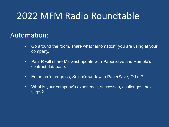#### Automation:

- Go around the room, share what "automation" you are using at your company.
- Paul R will share Midwest update with PaperSave and Rumple's contract database.
- Entercom's progress, Salem's work with PaperSave, Other?
- What is your company's experience, successes, challenges, next steps?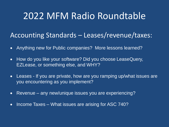#### Accounting Standards – Leases/revenue/taxes:

- Anything new for Public companies? More lessons learned?
- How do you like your software? Did you choose LeaseQuery, EZLease, or something else, and WHY?
- Leases If you are private, how are you ramping up/what issues are you encountering as you implement?
- Revenue any new/unique issues you are experiencing?
- Income Taxes What issues are arising for ASC 740?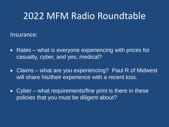Insurance:

- Rates what is everyone experiencing with prices for casualty, cyber, and yes, medical?
- Claims what are you experiencing? Paul R of Midwest will share his/their experience with a recent loss.
- Cyber what requirements/fine print is there in these policies that you must be diligent about?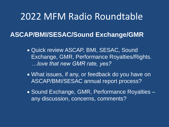#### **ASCAP/BMI/SESAC/Sound Exchange/GMR**

- Quick review ASCAP, BMI, SESAC, Sound Exchange, GMR, Performance Royalties/Rights. *…love that new GMR rate, yes?*
- What issues, if any, or feedback do you have on ASCAP/BMI/SESAC annual report process?
- Sound Exchange, GMR, Performance Royalties any discussion, concerns, comments?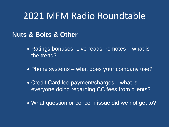#### **Nuts & Bolts & Other**

- Ratings bonuses, Live reads, remotes what is the trend?
- Phone systems what does your company use?
- Credit Card fee payment/charges…what is everyone doing regarding CC fees from clients?
- What question or concern issue did we not get to?